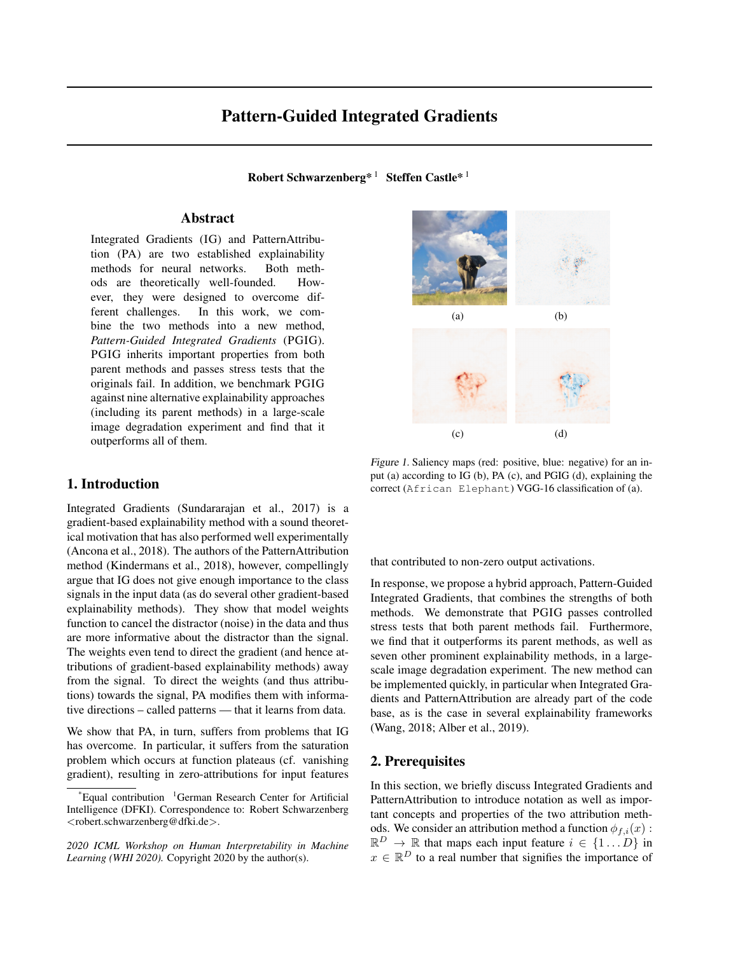# Pattern-Guided Integrated Gradients

Robert Schwarzenberg\*<sup>1</sup> Steffen Castle\*<sup>1</sup>

# Abstract

Integrated Gradients (IG) and PatternAttribution (PA) are two established explainability methods for neural networks. Both methods are theoretically well-founded. However, they were designed to overcome different challenges. In this work, we combine the two methods into a new method, *Pattern-Guided Integrated Gradients* (PGIG). PGIG inherits important properties from both parent methods and passes stress tests that the originals fail. In addition, we benchmark PGIG against nine alternative explainability approaches (including its parent methods) in a large-scale image degradation experiment and find that it outperforms all of them.

# 1. Introduction

Integrated Gradients (Sundararajan et al., 2017) is a gradient-based explainability method with a sound theoretical motivation that has also performed well experimentally (Ancona et al., 2018). The authors of the PatternAttribution method (Kindermans et al., 2018), however, compellingly argue that IG does not give enough importance to the class signals in the input data (as do several other gradient-based explainability methods). They show that model weights function to cancel the distractor (noise) in the data and thus are more informative about the distractor than the signal. The weights even tend to direct the gradient (and hence attributions of gradient-based explainability methods) away from the signal. To direct the weights (and thus attributions) towards the signal, PA modifies them with informative directions – called patterns — that it learns from data.

We show that PA, in turn, suffers from problems that IG has overcome. In particular, it suffers from the saturation problem which occurs at function plateaus (cf. vanishing gradient), resulting in zero-attributions for input features



Figure 1. Saliency maps (red: positive, blue: negative) for an input (a) according to IG (b), PA (c), and PGIG (d), explaining the correct (African Elephant) VGG-16 classification of (a).

that contributed to non-zero output activations.

In response, we propose a hybrid approach, Pattern-Guided Integrated Gradients, that combines the strengths of both methods. We demonstrate that PGIG passes controlled stress tests that both parent methods fail. Furthermore, we find that it outperforms its parent methods, as well as seven other prominent explainability methods, in a largescale image degradation experiment. The new method can be implemented quickly, in particular when Integrated Gradients and PatternAttribution are already part of the code base, as is the case in several explainability frameworks (Wang, 2018; Alber et al., 2019).

# 2. Prerequisites

In this section, we briefly discuss Integrated Gradients and PatternAttribution to introduce notation as well as important concepts and properties of the two attribution methods. We consider an attribution method a function  $\phi_{f,i}(x)$ :  $\mathbb{R}^D \to \mathbb{R}$  that maps each input feature  $i \in \{1...D\}$  in  $x \in \mathbb{R}^D$  to a real number that signifies the importance of

 $^1$ Equal contribution  $^1$ German Research Center for Artificial Intelligence (DFKI). Correspondence to: Robert Schwarzenberg <robert.schwarzenberg@dfki.de>.

*<sup>2020</sup> ICML Workshop on Human Interpretability in Machine Learning (WHI 2020).* Copyright 2020 by the author(s).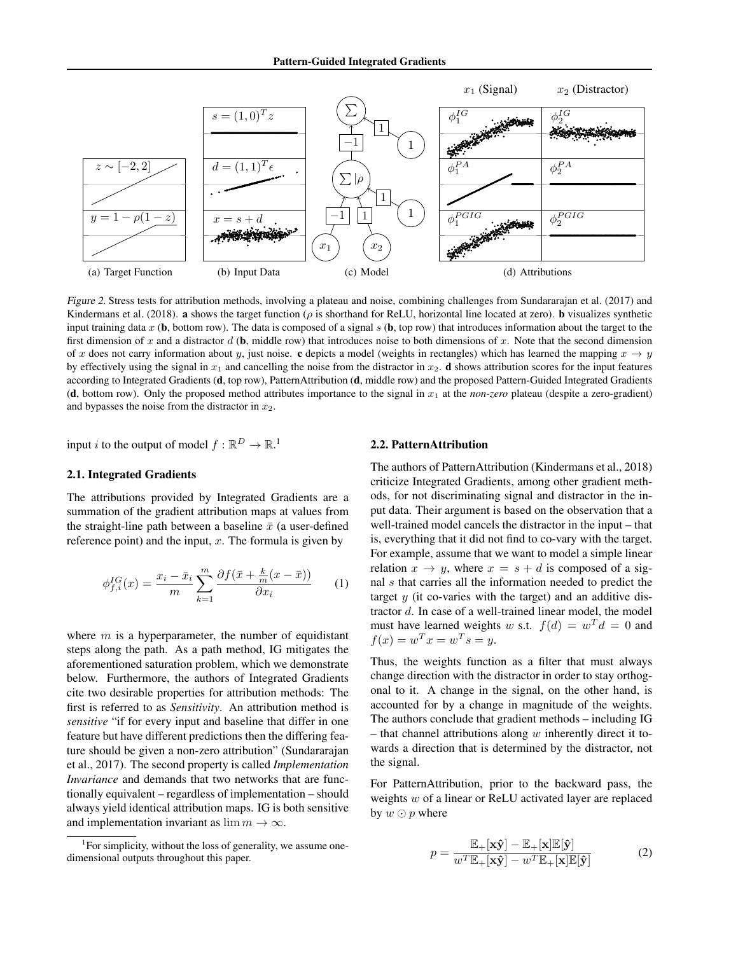

Figure 2. Stress tests for attribution methods, involving a plateau and noise, combining challenges from Sundararajan et al. (2017) and Kindermans et al. (2018). **a** shows the target function ( $\rho$  is shorthand for ReLU, horizontal line located at zero). **b** visualizes synthetic input training data x (b, bottom row). The data is composed of a signal s (b, top row) that introduces information about the target to the first dimension of x and a distractor d  $(b, \text{middle row})$  that introduces noise to both dimensions of x. Note that the second dimension of x does not carry information about y, just noise. c depicts a model (weights in rectangles) which has learned the mapping  $x \to y$ by effectively using the signal in  $x_1$  and cancelling the noise from the distractor in  $x_2$ . **d** shows attribution scores for the input features according to Integrated Gradients (d, top row), PatternAttribution (d, middle row) and the proposed Pattern-Guided Integrated Gradients (d, bottom row). Only the proposed method attributes importance to the signal in  $x_1$  at the *non-zero* plateau (despite a zero-gradient) and bypasses the noise from the distractor in  $x_2$ .

input *i* to the output of model  $f : \mathbb{R}^D \to \mathbb{R}^1$ .

#### 2.1. Integrated Gradients

The attributions provided by Integrated Gradients are a summation of the gradient attribution maps at values from the straight-line path between a baseline  $\bar{x}$  (a user-defined reference point) and the input,  $x$ . The formula is given by

$$
\phi_{f,i}^{IG}(x) = \frac{x_i - \bar{x}_i}{m} \sum_{k=1}^{m} \frac{\partial f(\bar{x} + \frac{k}{m}(x - \bar{x}))}{\partial x_i} \qquad (1)
$$

where  $m$  is a hyperparameter, the number of equidistant steps along the path. As a path method, IG mitigates the aforementioned saturation problem, which we demonstrate below. Furthermore, the authors of Integrated Gradients cite two desirable properties for attribution methods: The first is referred to as *Sensitivity*. An attribution method is *sensitive* "if for every input and baseline that differ in one feature but have different predictions then the differing feature should be given a non-zero attribution" (Sundararajan et al., 2017). The second property is called *Implementation Invariance* and demands that two networks that are functionally equivalent – regardless of implementation – should always yield identical attribution maps. IG is both sensitive and implementation invariant as  $\lim m \to \infty$ .

#### 2.2. PatternAttribution

The authors of PatternAttribution (Kindermans et al., 2018) criticize Integrated Gradients, among other gradient methods, for not discriminating signal and distractor in the input data. Their argument is based on the observation that a well-trained model cancels the distractor in the input – that is, everything that it did not find to co-vary with the target. For example, assume that we want to model a simple linear relation  $x \to y$ , where  $x = s + d$  is composed of a signal s that carries all the information needed to predict the target  $y$  (it co-varies with the target) and an additive distractor d. In case of a well-trained linear model, the model must have learned weights w s.t.  $f(d) = w^T d = 0$  and  $f(x) = w^T x = w^T s = y.$ 

Thus, the weights function as a filter that must always change direction with the distractor in order to stay orthogonal to it. A change in the signal, on the other hand, is accounted for by a change in magnitude of the weights. The authors conclude that gradient methods – including IG – that channel attributions along  $w$  inherently direct it towards a direction that is determined by the distractor, not the signal.

For PatternAttribution, prior to the backward pass, the weights w of a linear or ReLU activated layer are replaced by  $w \odot p$  where

$$
p = \frac{\mathbb{E}_{+}[\mathbf{x}\hat{\mathbf{y}}] - \mathbb{E}_{+}[\mathbf{x}]\mathbb{E}[\hat{\mathbf{y}}]}{w^{T}\mathbb{E}_{+}[\mathbf{x}\hat{\mathbf{y}}] - w^{T}\mathbb{E}_{+}[\mathbf{x}]\mathbb{E}[\hat{\mathbf{y}}]}
$$
(2)

<sup>&</sup>lt;sup>1</sup>For simplicity, without the loss of generality, we assume onedimensional outputs throughout this paper.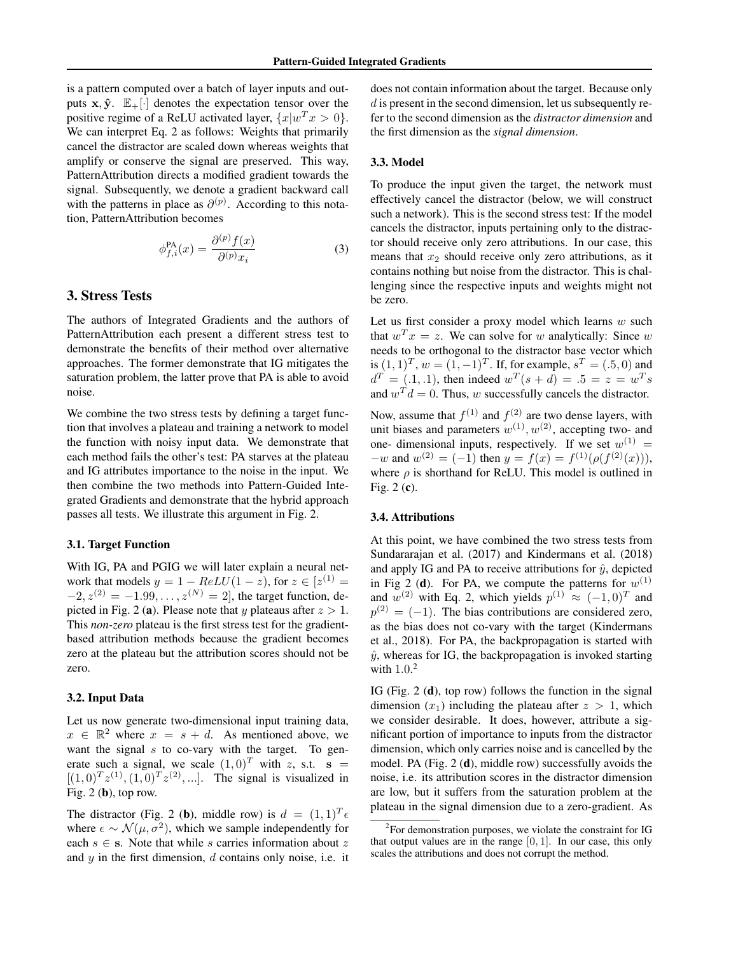is a pattern computed over a batch of layer inputs and outputs  $x, \hat{y}$ .  $\mathbb{E}_+[\cdot]$  denotes the expectation tensor over the positive regime of a ReLU activated layer,  $\{x|w^T x > 0\}$ . We can interpret Eq. 2 as follows: Weights that primarily cancel the distractor are scaled down whereas weights that amplify or conserve the signal are preserved. This way, PatternAttribution directs a modified gradient towards the signal. Subsequently, we denote a gradient backward call with the patterns in place as  $\partial^{(p)}$ . According to this notation, PatternAttribution becomes

$$
\phi_{f,i}^{\text{PA}}(x) = \frac{\partial^{(p)} f(x)}{\partial^{(p)} x_i} \tag{3}
$$

#### 3. Stress Tests

The authors of Integrated Gradients and the authors of PatternAttribution each present a different stress test to demonstrate the benefits of their method over alternative approaches. The former demonstrate that IG mitigates the saturation problem, the latter prove that PA is able to avoid noise.

We combine the two stress tests by defining a target function that involves a plateau and training a network to model the function with noisy input data. We demonstrate that each method fails the other's test: PA starves at the plateau and IG attributes importance to the noise in the input. We then combine the two methods into Pattern-Guided Integrated Gradients and demonstrate that the hybrid approach passes all tests. We illustrate this argument in Fig. 2.

#### 3.1. Target Function

With IG, PA and PGIG we will later explain a neural network that models  $y = 1 - ReLU(1 - z)$ , for  $z \in [z^{(1)} = z]$  $-2, z^{(2)} = -1.99, \ldots, z^{(N)} = 2$ , the target function, depicted in Fig. 2 (a). Please note that y plateaus after  $z > 1$ . This *non-zero* plateau is the first stress test for the gradientbased attribution methods because the gradient becomes zero at the plateau but the attribution scores should not be zero.

#### 3.2. Input Data

Let us now generate two-dimensional input training data,  $x \in \mathbb{R}^2$  where  $x = s + d$ . As mentioned above, we want the signal  $s$  to co-vary with the target. To generate such a signal, we scale  $(1, 0)^T$  with z, s.t. s =  $[(1,0)^T z^{(1)}, (1,0)^T z^{(2)},...]$ . The signal is visualized in Fig.  $2$  (b), top row.

The distractor (Fig. 2 (b), middle row) is  $d = (1, 1)^T \epsilon$ where  $\epsilon \sim \mathcal{N}(\mu, \sigma^2)$ , which we sample independently for each  $s \in s$ . Note that while s carries information about z and  $y$  in the first dimension,  $d$  contains only noise, i.e. it does not contain information about the target. Because only d is present in the second dimension, let us subsequently refer to the second dimension as the *distractor dimension* and the first dimension as the *signal dimension*.

#### 3.3. Model

To produce the input given the target, the network must effectively cancel the distractor (below, we will construct such a network). This is the second stress test: If the model cancels the distractor, inputs pertaining only to the distractor should receive only zero attributions. In our case, this means that  $x_2$  should receive only zero attributions, as it contains nothing but noise from the distractor. This is challenging since the respective inputs and weights might not be zero.

Let us first consider a proxy model which learns  $w$  such that  $w^T x = z$ . We can solve for w analytically: Since w needs to be orthogonal to the distractor base vector which is  $(1, 1)^T$ ,  $w = (1, -1)^T$ . If, for example,  $s^T = (.5, 0)$  and  $d^T = (0.1, 0.1)$ , then indeed  $w^T(s + d) = 0.5 = z = w^T s$ and  $w^T d = 0$ . Thus, w successfully cancels the distractor.

Now, assume that  $f^{(1)}$  and  $f^{(2)}$  are two dense layers, with unit biases and parameters  $w^{(1)}$ ,  $w^{(2)}$ , accepting two- and one- dimensional inputs, respectively. If we set  $w^{(1)} =$  $-w$  and  $w^{(2)} = (-1)$  then  $y = f(x) = f^{(1)}(\rho(f^{(2)}(x))),$ where  $\rho$  is shorthand for ReLU. This model is outlined in Fig. 2 (c).

#### 3.4. Attributions

At this point, we have combined the two stress tests from Sundararajan et al. (2017) and Kindermans et al. (2018) and apply IG and PA to receive attributions for  $\hat{y}$ , depicted in Fig 2 (d). For PA, we compute the patterns for  $w^{(1)}$ and  $w^{(2)}$  with Eq. 2, which yields  $p^{(1)} \approx (-1,0)^T$  and  $p^{(2)} = (-1)$ . The bias contributions are considered zero, as the bias does not co-vary with the target (Kindermans et al., 2018). For PA, the backpropagation is started with  $\hat{y}$ , whereas for IG, the backpropagation is invoked starting with  $1.0<sup>2</sup>$ 

IG (Fig. 2 (d), top row) follows the function in the signal dimension  $(x_1)$  including the plateau after  $z > 1$ , which we consider desirable. It does, however, attribute a significant portion of importance to inputs from the distractor dimension, which only carries noise and is cancelled by the model. PA (Fig. 2 (d), middle row) successfully avoids the noise, i.e. its attribution scores in the distractor dimension are low, but it suffers from the saturation problem at the plateau in the signal dimension due to a zero-gradient. As

 $2^2$ For demonstration purposes, we violate the constraint for IG that output values are in the range  $[0, 1]$ . In our case, this only scales the attributions and does not corrupt the method.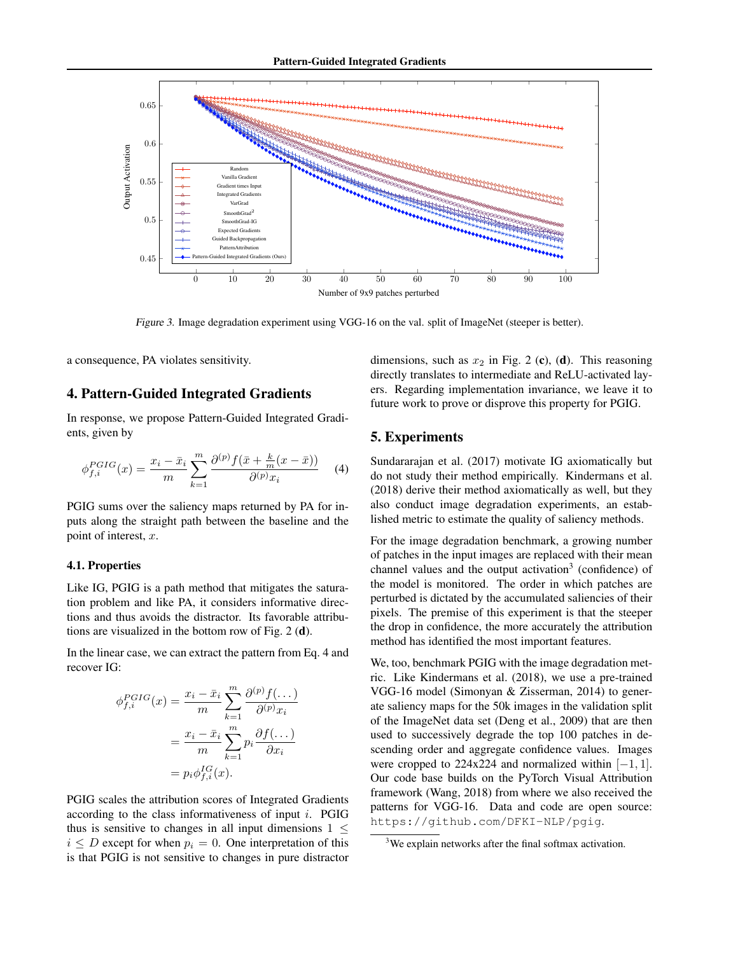

Figure 3. Image degradation experiment using VGG-16 on the val. split of ImageNet (steeper is better).

a consequence, PA violates sensitivity.

### 4. Pattern-Guided Integrated Gradients

In response, we propose Pattern-Guided Integrated Gradients, given by

$$
\phi_{f,i}^{PGIG}(x) = \frac{x_i - \bar{x}_i}{m} \sum_{k=1}^{m} \frac{\partial^{(p)} f(\bar{x} + \frac{k}{m}(x - \bar{x}))}{\partial^{(p)} x_i} \tag{4}
$$

PGIG sums over the saliency maps returned by PA for inputs along the straight path between the baseline and the point of interest, x.

#### 4.1. Properties

Like IG, PGIG is a path method that mitigates the saturation problem and like PA, it considers informative directions and thus avoids the distractor. Its favorable attributions are visualized in the bottom row of Fig. 2 (d).

In the linear case, we can extract the pattern from Eq. 4 and recover IG:

$$
\phi_{f,i}^{PGIG}(x) = \frac{x_i - \bar{x}_i}{m} \sum_{k=1}^{m} \frac{\partial^{(p)} f(\dots)}{\partial^{(p)} x_i}
$$

$$
= \frac{x_i - \bar{x}_i}{m} \sum_{k=1}^{m} p_i \frac{\partial f(\dots)}{\partial x_i}
$$

$$
= p_i \phi_{f,i}^{IG}(x).
$$

PGIG scales the attribution scores of Integrated Gradients according to the class informativeness of input i. PGIG thus is sensitive to changes in all input dimensions  $1 \leq$  $i \leq D$  except for when  $p_i = 0$ . One interpretation of this is that PGIG is not sensitive to changes in pure distractor dimensions, such as  $x_2$  in Fig. 2 (c), (d). This reasoning directly translates to intermediate and ReLU-activated layers. Regarding implementation invariance, we leave it to future work to prove or disprove this property for PGIG.

# 5. Experiments

Sundararajan et al. (2017) motivate IG axiomatically but do not study their method empirically. Kindermans et al. (2018) derive their method axiomatically as well, but they also conduct image degradation experiments, an established metric to estimate the quality of saliency methods.

For the image degradation benchmark, a growing number of patches in the input images are replaced with their mean channel values and the output activation<sup>3</sup> (confidence) of the model is monitored. The order in which patches are perturbed is dictated by the accumulated saliencies of their pixels. The premise of this experiment is that the steeper the drop in confidence, the more accurately the attribution method has identified the most important features.

We, too, benchmark PGIG with the image degradation metric. Like Kindermans et al. (2018), we use a pre-trained VGG-16 model (Simonyan & Zisserman, 2014) to generate saliency maps for the 50k images in the validation split of the ImageNet data set (Deng et al., 2009) that are then used to successively degrade the top 100 patches in descending order and aggregate confidence values. Images were cropped to 224x224 and normalized within  $[-1, 1]$ . Our code base builds on the PyTorch Visual Attribution framework (Wang, 2018) from where we also received the patterns for VGG-16. Data and code are open source: https://github.com/DFKI-NLP/pgig.

<sup>&</sup>lt;sup>3</sup>We explain networks after the final softmax activation.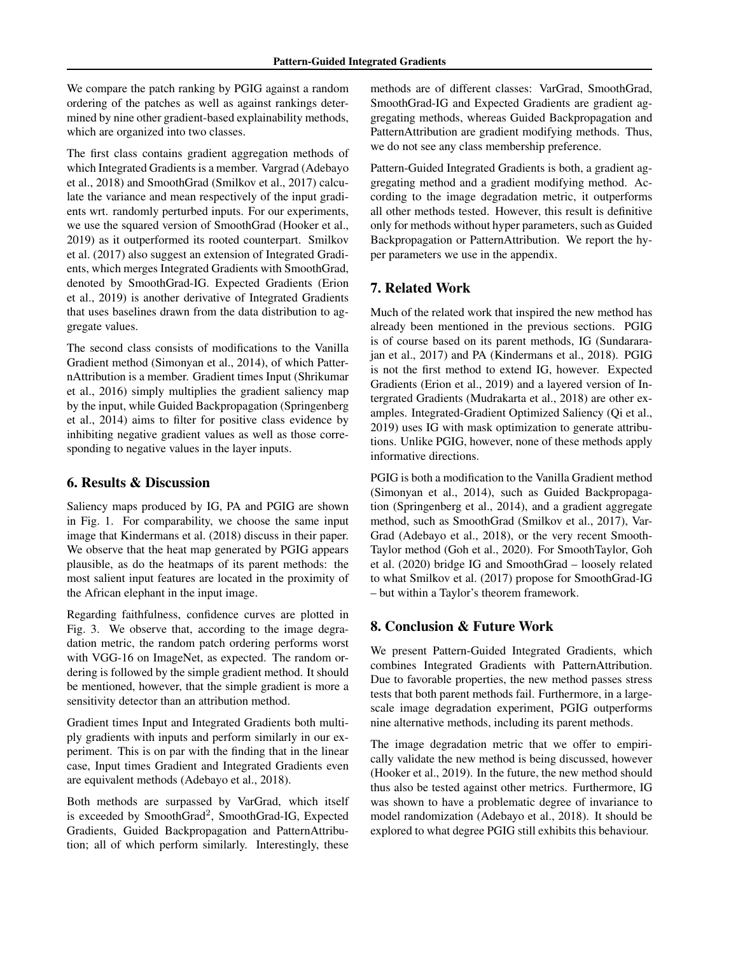We compare the patch ranking by PGIG against a random ordering of the patches as well as against rankings determined by nine other gradient-based explainability methods, which are organized into two classes.

The first class contains gradient aggregation methods of which Integrated Gradients is a member. Vargrad (Adebayo et al., 2018) and SmoothGrad (Smilkov et al., 2017) calculate the variance and mean respectively of the input gradients wrt. randomly perturbed inputs. For our experiments, we use the squared version of SmoothGrad (Hooker et al., 2019) as it outperformed its rooted counterpart. Smilkov et al. (2017) also suggest an extension of Integrated Gradients, which merges Integrated Gradients with SmoothGrad, denoted by SmoothGrad-IG. Expected Gradients (Erion et al., 2019) is another derivative of Integrated Gradients that uses baselines drawn from the data distribution to aggregate values.

The second class consists of modifications to the Vanilla Gradient method (Simonyan et al., 2014), of which PatternAttribution is a member. Gradient times Input (Shrikumar et al., 2016) simply multiplies the gradient saliency map by the input, while Guided Backpropagation (Springenberg et al., 2014) aims to filter for positive class evidence by inhibiting negative gradient values as well as those corresponding to negative values in the layer inputs.

### 6. Results & Discussion

Saliency maps produced by IG, PA and PGIG are shown in Fig. 1. For comparability, we choose the same input image that Kindermans et al. (2018) discuss in their paper. We observe that the heat map generated by PGIG appears plausible, as do the heatmaps of its parent methods: the most salient input features are located in the proximity of the African elephant in the input image.

Regarding faithfulness, confidence curves are plotted in Fig. 3. We observe that, according to the image degradation metric, the random patch ordering performs worst with VGG-16 on ImageNet, as expected. The random ordering is followed by the simple gradient method. It should be mentioned, however, that the simple gradient is more a sensitivity detector than an attribution method.

Gradient times Input and Integrated Gradients both multiply gradients with inputs and perform similarly in our experiment. This is on par with the finding that in the linear case, Input times Gradient and Integrated Gradients even are equivalent methods (Adebayo et al., 2018).

Both methods are surpassed by VarGrad, which itself is exceeded by SmoothGrad<sup>2</sup>, SmoothGrad-IG, Expected Gradients, Guided Backpropagation and PatternAttribution; all of which perform similarly. Interestingly, these

methods are of different classes: VarGrad, SmoothGrad, SmoothGrad-IG and Expected Gradients are gradient aggregating methods, whereas Guided Backpropagation and PatternAttribution are gradient modifying methods. Thus, we do not see any class membership preference.

Pattern-Guided Integrated Gradients is both, a gradient aggregating method and a gradient modifying method. According to the image degradation metric, it outperforms all other methods tested. However, this result is definitive only for methods without hyper parameters, such as Guided Backpropagation or PatternAttribution. We report the hyper parameters we use in the appendix.

# 7. Related Work

Much of the related work that inspired the new method has already been mentioned in the previous sections. PGIG is of course based on its parent methods, IG (Sundararajan et al., 2017) and PA (Kindermans et al., 2018). PGIG is not the first method to extend IG, however. Expected Gradients (Erion et al., 2019) and a layered version of Intergrated Gradients (Mudrakarta et al., 2018) are other examples. Integrated-Gradient Optimized Saliency (Qi et al., 2019) uses IG with mask optimization to generate attributions. Unlike PGIG, however, none of these methods apply informative directions.

PGIG is both a modification to the Vanilla Gradient method (Simonyan et al., 2014), such as Guided Backpropagation (Springenberg et al., 2014), and a gradient aggregate method, such as SmoothGrad (Smilkov et al., 2017), Var-Grad (Adebayo et al., 2018), or the very recent Smooth-Taylor method (Goh et al., 2020). For SmoothTaylor, Goh et al. (2020) bridge IG and SmoothGrad – loosely related to what Smilkov et al. (2017) propose for SmoothGrad-IG – but within a Taylor's theorem framework.

## 8. Conclusion & Future Work

We present Pattern-Guided Integrated Gradients, which combines Integrated Gradients with PatternAttribution. Due to favorable properties, the new method passes stress tests that both parent methods fail. Furthermore, in a largescale image degradation experiment, PGIG outperforms nine alternative methods, including its parent methods.

The image degradation metric that we offer to empirically validate the new method is being discussed, however (Hooker et al., 2019). In the future, the new method should thus also be tested against other metrics. Furthermore, IG was shown to have a problematic degree of invariance to model randomization (Adebayo et al., 2018). It should be explored to what degree PGIG still exhibits this behaviour.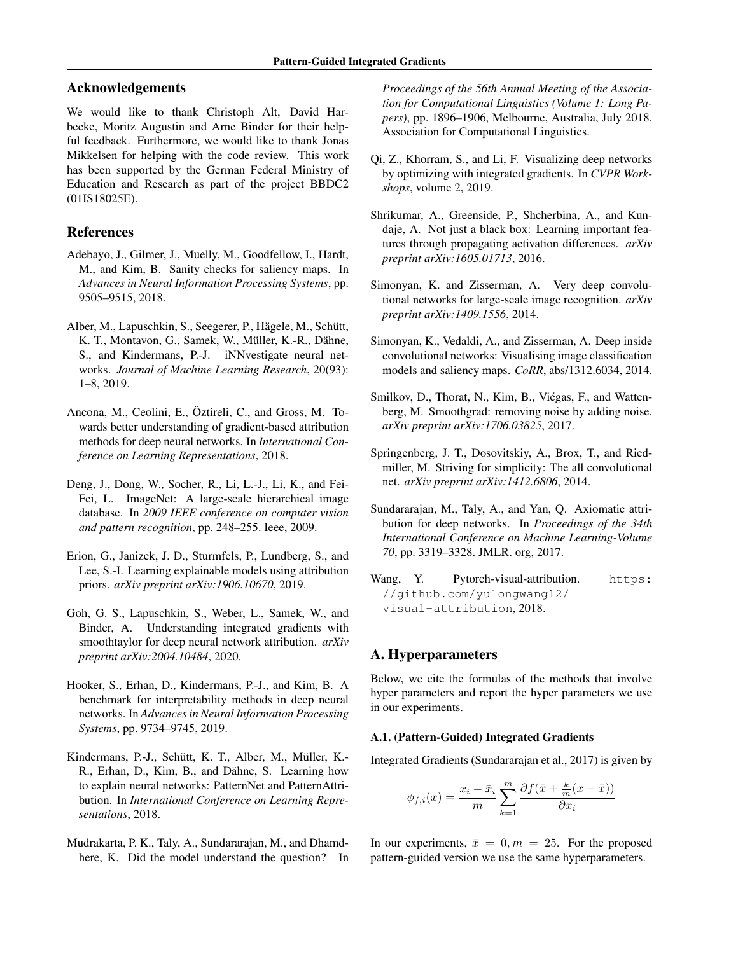### Acknowledgements

We would like to thank Christoph Alt, David Harbecke, Moritz Augustin and Arne Binder for their helpful feedback. Furthermore, we would like to thank Jonas Mikkelsen for helping with the code review. This work has been supported by the German Federal Ministry of Education and Research as part of the project BBDC2 (01IS18025E).

### References

- Adebayo, J., Gilmer, J., Muelly, M., Goodfellow, I., Hardt, M., and Kim, B. Sanity checks for saliency maps. In *Advances in Neural Information Processing Systems*, pp. 9505–9515, 2018.
- Alber, M., Lapuschkin, S., Seegerer, P., Hägele, M., Schütt, K. T., Montavon, G., Samek, W., Müller, K.-R., Dähne, S., and Kindermans, P.-J. iNNvestigate neural networks. *Journal of Machine Learning Research*, 20(93): 1–8, 2019.
- Ancona, M., Ceolini, E., Öztireli, C., and Gross, M. Towards better understanding of gradient-based attribution methods for deep neural networks. In *International Conference on Learning Representations*, 2018.
- Deng, J., Dong, W., Socher, R., Li, L.-J., Li, K., and Fei-Fei, L. ImageNet: A large-scale hierarchical image database. In *2009 IEEE conference on computer vision and pattern recognition*, pp. 248–255. Ieee, 2009.
- Erion, G., Janizek, J. D., Sturmfels, P., Lundberg, S., and Lee, S.-I. Learning explainable models using attribution priors. *arXiv preprint arXiv:1906.10670*, 2019.
- Goh, G. S., Lapuschkin, S., Weber, L., Samek, W., and Binder, A. Understanding integrated gradients with smoothtaylor for deep neural network attribution. *arXiv preprint arXiv:2004.10484*, 2020.
- Hooker, S., Erhan, D., Kindermans, P.-J., and Kim, B. A benchmark for interpretability methods in deep neural networks. In *Advances in Neural Information Processing Systems*, pp. 9734–9745, 2019.
- Kindermans, P.-J., Schütt, K. T., Alber, M., Müller, K.-R., Erhan, D., Kim, B., and Dähne, S. Learning how to explain neural networks: PatternNet and PatternAttribution. In *International Conference on Learning Representations*, 2018.
- Mudrakarta, P. K., Taly, A., Sundararajan, M., and Dhamdhere, K. Did the model understand the question? In

*Proceedings of the 56th Annual Meeting of the Association for Computational Linguistics (Volume 1: Long Papers)*, pp. 1896–1906, Melbourne, Australia, July 2018. Association for Computational Linguistics.

- Qi, Z., Khorram, S., and Li, F. Visualizing deep networks by optimizing with integrated gradients. In *CVPR Workshops*, volume 2, 2019.
- Shrikumar, A., Greenside, P., Shcherbina, A., and Kundaje, A. Not just a black box: Learning important features through propagating activation differences. *arXiv preprint arXiv:1605.01713*, 2016.
- Simonyan, K. and Zisserman, A. Very deep convolutional networks for large-scale image recognition. *arXiv preprint arXiv:1409.1556*, 2014.
- Simonyan, K., Vedaldi, A., and Zisserman, A. Deep inside convolutional networks: Visualising image classification models and saliency maps. *CoRR*, abs/1312.6034, 2014.
- Smilkov, D., Thorat, N., Kim, B., Viégas, F., and Wattenberg, M. Smoothgrad: removing noise by adding noise. *arXiv preprint arXiv:1706.03825*, 2017.
- Springenberg, J. T., Dosovitskiy, A., Brox, T., and Riedmiller, M. Striving for simplicity: The all convolutional net. *arXiv preprint arXiv:1412.6806*, 2014.
- Sundararajan, M., Taly, A., and Yan, Q. Axiomatic attribution for deep networks. In *Proceedings of the 34th International Conference on Machine Learning-Volume 70*, pp. 3319–3328. JMLR. org, 2017.
- Wang, Y. Pytorch-visual-attribution. https: //github.com/yulongwang12/ visual-attribution, 2018.

### A. Hyperparameters

Below, we cite the formulas of the methods that involve hyper parameters and report the hyper parameters we use in our experiments.

#### A.1. (Pattern-Guided) Integrated Gradients

Integrated Gradients (Sundararajan et al., 2017) is given by

$$
\phi_{f,i}(x) = \frac{x_i - \bar{x}_i}{m} \sum_{k=1}^{m} \frac{\partial f(\bar{x} + \frac{k}{m}(x - \bar{x}))}{\partial x_i}
$$

In our experiments,  $\bar{x} = 0, m = 25$ . For the proposed pattern-guided version we use the same hyperparameters.